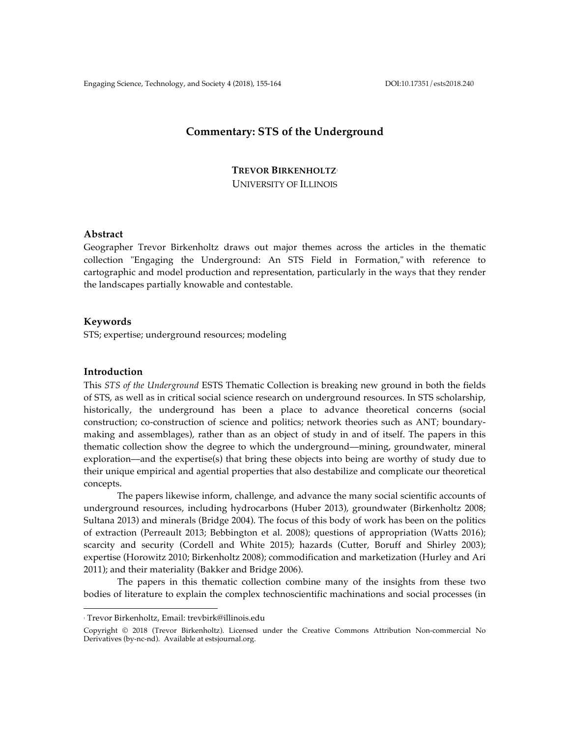# **Commentary: STS of the Underground**

**TREVOR BIRKENHOLTZ**<sup>1</sup> UNIVERSITY OF ILLINOIS

## **Abstract**

Geographer Trevor Birkenholtz draws out major themes across the articles in the thematic collection "Engaging the Underground: An STS Field in Formation," with reference to cartographic and model production and representation, particularly in the ways that they render the landscapes partially knowable and contestable.

## **Keywords**

STS; expertise; underground resources; modeling

### **Introduction**

This *STS of the Underground* ESTS Thematic Collection is breaking new ground in both the fields of STS, as well as in critical social science research on underground resources. In STS scholarship, historically, the underground has been a place to advance theoretical concerns (social construction; co-construction of science and politics; network theories such as ANT; boundarymaking and assemblages), rather than as an object of study in and of itself. The papers in this thematic collection show the degree to which the underground––mining, groundwater, mineral exploration––and the expertise(s) that bring these objects into being are worthy of study due to their unique empirical and agential properties that also destabilize and complicate our theoretical concepts.

The papers likewise inform, challenge, and advance the many social scientific accounts of underground resources, including hydrocarbons (Huber 2013), groundwater (Birkenholtz 2008; Sultana 2013) and minerals (Bridge 2004). The focus of this body of work has been on the politics of extraction (Perreault 2013; Bebbington et al. 2008); questions of appropriation (Watts 2016); scarcity and security (Cordell and White 2015); hazards (Cutter, Boruff and Shirley 2003); expertise (Horowitz 2010; Birkenholtz 2008); commodification and marketization (Hurley and Ari 2011); and their materiality (Bakker and Bridge 2006).

The papers in this thematic collection combine many of the insights from these two bodies of literature to explain the complex technoscientific machinations and social processes (in

 

<sup>1</sup> Trevor Birkenholtz, Email: trevbirk@illinois.edu

Copyright © 2018 (Trevor Birkenholtz). Licensed under the Creative Commons Attribution Non-commercial No Derivatives (by-nc-nd). Available at estsjournal.org.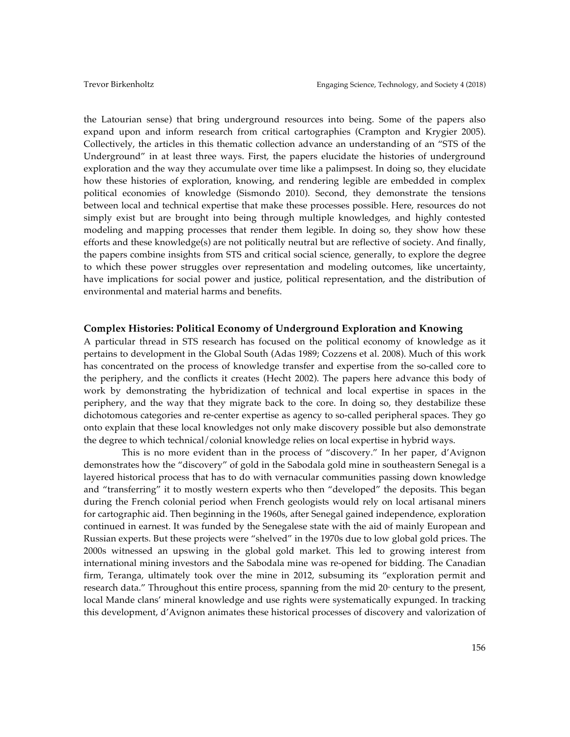the Latourian sense) that bring underground resources into being. Some of the papers also expand upon and inform research from critical cartographies (Crampton and Krygier 2005). Collectively, the articles in this thematic collection advance an understanding of an "STS of the Underground" in at least three ways. First, the papers elucidate the histories of underground exploration and the way they accumulate over time like a palimpsest. In doing so, they elucidate how these histories of exploration, knowing, and rendering legible are embedded in complex political economies of knowledge (Sismondo 2010). Second, they demonstrate the tensions between local and technical expertise that make these processes possible. Here, resources do not simply exist but are brought into being through multiple knowledges, and highly contested modeling and mapping processes that render them legible. In doing so, they show how these efforts and these knowledge(s) are not politically neutral but are reflective of society. And finally, the papers combine insights from STS and critical social science, generally, to explore the degree to which these power struggles over representation and modeling outcomes, like uncertainty, have implications for social power and justice, political representation, and the distribution of environmental and material harms and benefits.

#### **Complex Histories: Political Economy of Underground Exploration and Knowing**

A particular thread in STS research has focused on the political economy of knowledge as it pertains to development in the Global South (Adas 1989; Cozzens et al. 2008). Much of this work has concentrated on the process of knowledge transfer and expertise from the so-called core to the periphery, and the conflicts it creates (Hecht 2002). The papers here advance this body of work by demonstrating the hybridization of technical and local expertise in spaces in the periphery, and the way that they migrate back to the core. In doing so, they destabilize these dichotomous categories and re-center expertise as agency to so-called peripheral spaces. They go onto explain that these local knowledges not only make discovery possible but also demonstrate the degree to which technical/colonial knowledge relies on local expertise in hybrid ways.

 This is no more evident than in the process of "discovery." In her paper, d'Avignon demonstrates how the "discovery" of gold in the Sabodala gold mine in southeastern Senegal is a layered historical process that has to do with vernacular communities passing down knowledge and "transferring" it to mostly western experts who then "developed" the deposits. This began during the French colonial period when French geologists would rely on local artisanal miners for cartographic aid. Then beginning in the 1960s, after Senegal gained independence, exploration continued in earnest. It was funded by the Senegalese state with the aid of mainly European and Russian experts. But these projects were "shelved" in the 1970s due to low global gold prices. The 2000s witnessed an upswing in the global gold market. This led to growing interest from international mining investors and the Sabodala mine was re-opened for bidding. The Canadian firm, Teranga, ultimately took over the mine in 2012, subsuming its "exploration permit and research data." Throughout this entire process, spanning from the mid  $20<sup>*</sup>$  century to the present, local Mande clans' mineral knowledge and use rights were systematically expunged. In tracking this development, d'Avignon animates these historical processes of discovery and valorization of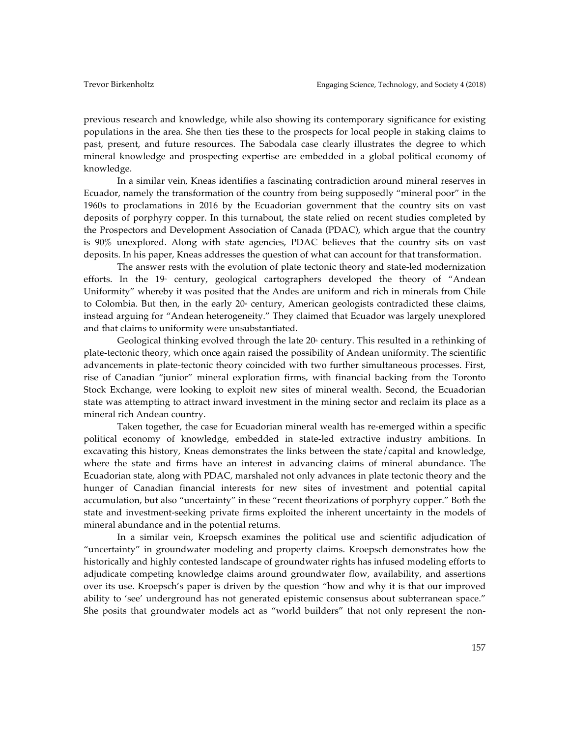previous research and knowledge, while also showing its contemporary significance for existing populations in the area. She then ties these to the prospects for local people in staking claims to past, present, and future resources. The Sabodala case clearly illustrates the degree to which mineral knowledge and prospecting expertise are embedded in a global political economy of knowledge.

In a similar vein, Kneas identifies a fascinating contradiction around mineral reserves in Ecuador, namely the transformation of the country from being supposedly "mineral poor" in the 1960s to proclamations in 2016 by the Ecuadorian government that the country sits on vast deposits of porphyry copper. In this turnabout, the state relied on recent studies completed by the Prospectors and Development Association of Canada (PDAC), which argue that the country is 90% unexplored. Along with state agencies, PDAC believes that the country sits on vast deposits. In his paper, Kneas addresses the question of what can account for that transformation.

The answer rests with the evolution of plate tectonic theory and state-led modernization efforts. In the  $19^{\circ}$  century, geological cartographers developed the theory of "Andean Uniformity" whereby it was posited that the Andes are uniform and rich in minerals from Chile to Colombia. But then, in the early  $20<sup>°</sup>$  century, American geologists contradicted these claims, instead arguing for "Andean heterogeneity." They claimed that Ecuador was largely unexplored and that claims to uniformity were unsubstantiated.

Geological thinking evolved through the late  $20<sup>o</sup>$  century. This resulted in a rethinking of plate-tectonic theory, which once again raised the possibility of Andean uniformity. The scientific advancements in plate-tectonic theory coincided with two further simultaneous processes. First, rise of Canadian "junior" mineral exploration firms, with financial backing from the Toronto Stock Exchange, were looking to exploit new sites of mineral wealth. Second, the Ecuadorian state was attempting to attract inward investment in the mining sector and reclaim its place as a mineral rich Andean country.

Taken together, the case for Ecuadorian mineral wealth has re-emerged within a specific political economy of knowledge, embedded in state-led extractive industry ambitions. In excavating this history, Kneas demonstrates the links between the state/capital and knowledge, where the state and firms have an interest in advancing claims of mineral abundance. The Ecuadorian state, along with PDAC, marshaled not only advances in plate tectonic theory and the hunger of Canadian financial interests for new sites of investment and potential capital accumulation, but also "uncertainty" in these "recent theorizations of porphyry copper." Both the state and investment-seeking private firms exploited the inherent uncertainty in the models of mineral abundance and in the potential returns.

In a similar vein, Kroepsch examines the political use and scientific adjudication of "uncertainty" in groundwater modeling and property claims. Kroepsch demonstrates how the historically and highly contested landscape of groundwater rights has infused modeling efforts to adjudicate competing knowledge claims around groundwater flow, availability, and assertions over its use. Kroepsch's paper is driven by the question "how and why it is that our improved ability to 'see' underground has not generated epistemic consensus about subterranean space." She posits that groundwater models act as "world builders" that not only represent the non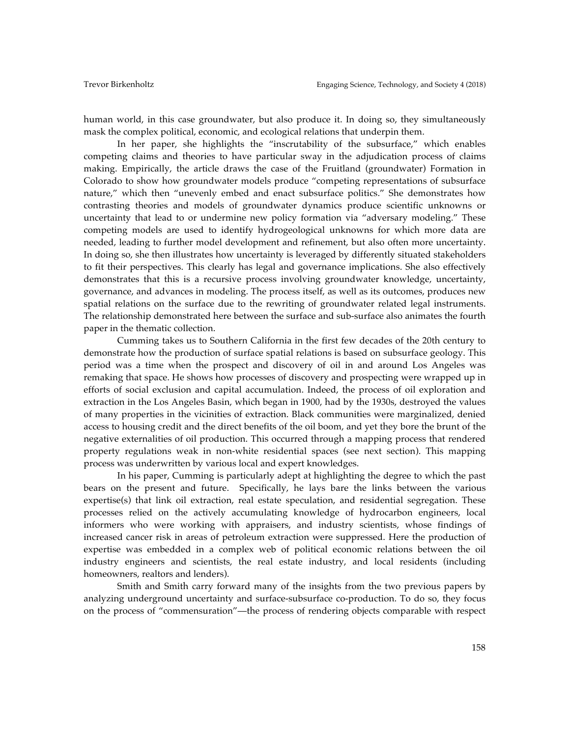human world, in this case groundwater, but also produce it. In doing so, they simultaneously mask the complex political, economic, and ecological relations that underpin them.

In her paper, she highlights the "inscrutability of the subsurface," which enables competing claims and theories to have particular sway in the adjudication process of claims making. Empirically, the article draws the case of the Fruitland (groundwater) Formation in Colorado to show how groundwater models produce "competing representations of subsurface nature," which then "unevenly embed and enact subsurface politics." She demonstrates how contrasting theories and models of groundwater dynamics produce scientific unknowns or uncertainty that lead to or undermine new policy formation via "adversary modeling." These competing models are used to identify hydrogeological unknowns for which more data are needed, leading to further model development and refinement, but also often more uncertainty. In doing so, she then illustrates how uncertainty is leveraged by differently situated stakeholders to fit their perspectives. This clearly has legal and governance implications. She also effectively demonstrates that this is a recursive process involving groundwater knowledge, uncertainty, governance, and advances in modeling. The process itself, as well as its outcomes, produces new spatial relations on the surface due to the rewriting of groundwater related legal instruments. The relationship demonstrated here between the surface and sub-surface also animates the fourth paper in the thematic collection.

Cumming takes us to Southern California in the first few decades of the 20th century to demonstrate how the production of surface spatial relations is based on subsurface geology. This period was a time when the prospect and discovery of oil in and around Los Angeles was remaking that space. He shows how processes of discovery and prospecting were wrapped up in efforts of social exclusion and capital accumulation. Indeed, the process of oil exploration and extraction in the Los Angeles Basin, which began in 1900, had by the 1930s, destroyed the values of many properties in the vicinities of extraction. Black communities were marginalized, denied access to housing credit and the direct benefits of the oil boom, and yet they bore the brunt of the negative externalities of oil production. This occurred through a mapping process that rendered property regulations weak in non-white residential spaces (see next section). This mapping process was underwritten by various local and expert knowledges.

In his paper, Cumming is particularly adept at highlighting the degree to which the past bears on the present and future. Specifically, he lays bare the links between the various expertise(s) that link oil extraction, real estate speculation, and residential segregation. These processes relied on the actively accumulating knowledge of hydrocarbon engineers, local informers who were working with appraisers, and industry scientists, whose findings of increased cancer risk in areas of petroleum extraction were suppressed. Here the production of expertise was embedded in a complex web of political economic relations between the oil industry engineers and scientists, the real estate industry, and local residents (including homeowners, realtors and lenders).

Smith and Smith carry forward many of the insights from the two previous papers by analyzing underground uncertainty and surface-subsurface co-production. To do so, they focus on the process of "commensuration"––the process of rendering objects comparable with respect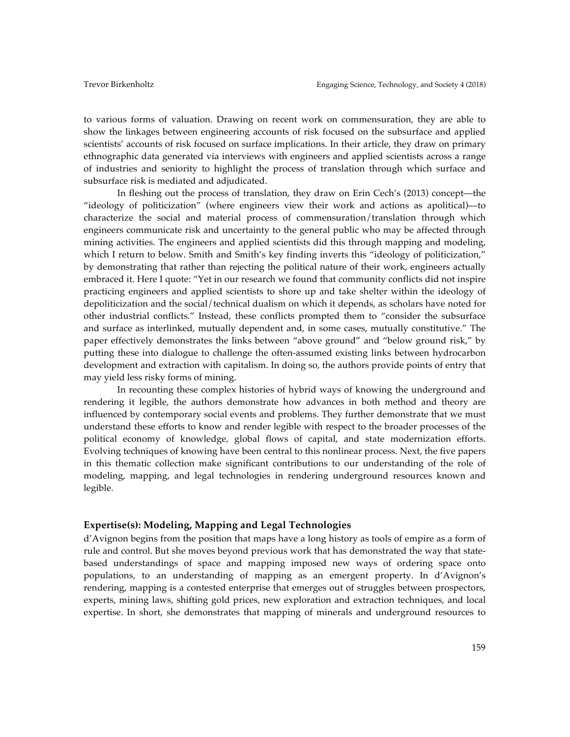to various forms of valuation. Drawing on recent work on commensuration, they are able to show the linkages between engineering accounts of risk focused on the subsurface and applied scientists' accounts of risk focused on surface implications. In their article, they draw on primary ethnographic data generated via interviews with engineers and applied scientists across a range of industries and seniority to highlight the process of translation through which surface and subsurface risk is mediated and adjudicated.

In fleshing out the process of translation, they draw on Erin Cech's (2013) concept––the "ideology of politicization" (where engineers view their work and actions as apolitical)––to characterize the social and material process of commensuration/translation through which engineers communicate risk and uncertainty to the general public who may be affected through mining activities. The engineers and applied scientists did this through mapping and modeling, which I return to below. Smith and Smith's key finding inverts this "ideology of politicization," by demonstrating that rather than rejecting the political nature of their work, engineers actually embraced it. Here I quote: "Yet in our research we found that community conflicts did not inspire practicing engineers and applied scientists to shore up and take shelter within the ideology of depoliticization and the social/technical dualism on which it depends, as scholars have noted for other industrial conflicts." Instead, these conflicts prompted them to "consider the subsurface and surface as interlinked, mutually dependent and, in some cases, mutually constitutive." The paper effectively demonstrates the links between "above ground" and "below ground risk," by putting these into dialogue to challenge the often-assumed existing links between hydrocarbon development and extraction with capitalism. In doing so, the authors provide points of entry that may yield less risky forms of mining.

In recounting these complex histories of hybrid ways of knowing the underground and rendering it legible, the authors demonstrate how advances in both method and theory are influenced by contemporary social events and problems. They further demonstrate that we must understand these efforts to know and render legible with respect to the broader processes of the political economy of knowledge, global flows of capital, and state modernization efforts. Evolving techniques of knowing have been central to this nonlinear process. Next, the five papers in this thematic collection make significant contributions to our understanding of the role of modeling, mapping, and legal technologies in rendering underground resources known and legible.

## **Expertise(s): Modeling, Mapping and Legal Technologies**

d'Avignon begins from the position that maps have a long history as tools of empire as a form of rule and control. But she moves beyond previous work that has demonstrated the way that statebased understandings of space and mapping imposed new ways of ordering space onto populations, to an understanding of mapping as an emergent property. In d'Avignon's rendering, mapping is a contested enterprise that emerges out of struggles between prospectors, experts, mining laws, shifting gold prices, new exploration and extraction techniques, and local expertise. In short, she demonstrates that mapping of minerals and underground resources to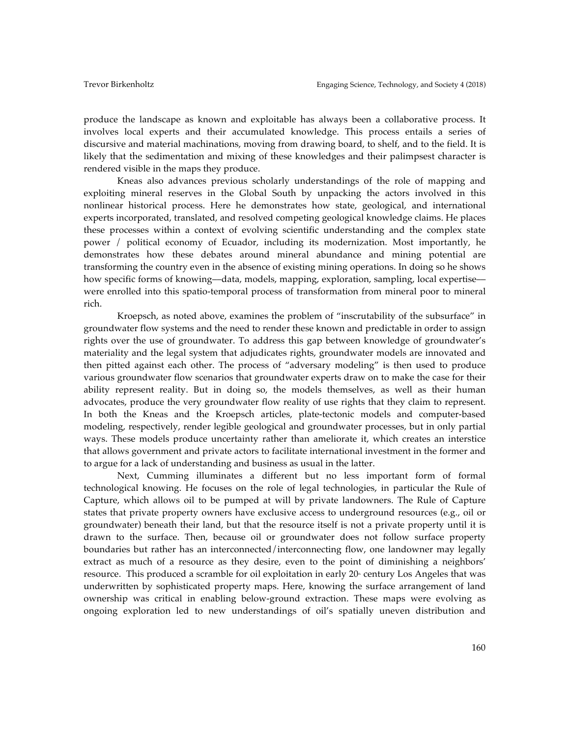produce the landscape as known and exploitable has always been a collaborative process. It involves local experts and their accumulated knowledge. This process entails a series of discursive and material machinations, moving from drawing board, to shelf, and to the field. It is likely that the sedimentation and mixing of these knowledges and their palimpsest character is rendered visible in the maps they produce.

Kneas also advances previous scholarly understandings of the role of mapping and exploiting mineral reserves in the Global South by unpacking the actors involved in this nonlinear historical process. Here he demonstrates how state, geological, and international experts incorporated, translated, and resolved competing geological knowledge claims. He places these processes within a context of evolving scientific understanding and the complex state power / political economy of Ecuador, including its modernization. Most importantly, he demonstrates how these debates around mineral abundance and mining potential are transforming the country even in the absence of existing mining operations. In doing so he shows how specific forms of knowing—data, models, mapping, exploration, sampling, local expertise were enrolled into this spatio-temporal process of transformation from mineral poor to mineral rich.

Kroepsch, as noted above, examines the problem of "inscrutability of the subsurface" in groundwater flow systems and the need to render these known and predictable in order to assign rights over the use of groundwater. To address this gap between knowledge of groundwater's materiality and the legal system that adjudicates rights, groundwater models are innovated and then pitted against each other. The process of "adversary modeling" is then used to produce various groundwater flow scenarios that groundwater experts draw on to make the case for their ability represent reality. But in doing so, the models themselves, as well as their human advocates, produce the very groundwater flow reality of use rights that they claim to represent. In both the Kneas and the Kroepsch articles, plate-tectonic models and computer-based modeling, respectively, render legible geological and groundwater processes, but in only partial ways. These models produce uncertainty rather than ameliorate it, which creates an interstice that allows government and private actors to facilitate international investment in the former and to argue for a lack of understanding and business as usual in the latter.

Next, Cumming illuminates a different but no less important form of formal technological knowing. He focuses on the role of legal technologies, in particular the Rule of Capture, which allows oil to be pumped at will by private landowners. The Rule of Capture states that private property owners have exclusive access to underground resources (e.g., oil or groundwater) beneath their land, but that the resource itself is not a private property until it is drawn to the surface. Then, because oil or groundwater does not follow surface property boundaries but rather has an interconnected/interconnecting flow, one landowner may legally extract as much of a resource as they desire, even to the point of diminishing a neighbors' resource. This produced a scramble for oil exploitation in early  $20<sup>*</sup>$  century Los Angeles that was underwritten by sophisticated property maps. Here, knowing the surface arrangement of land ownership was critical in enabling below-ground extraction. These maps were evolving as ongoing exploration led to new understandings of oil's spatially uneven distribution and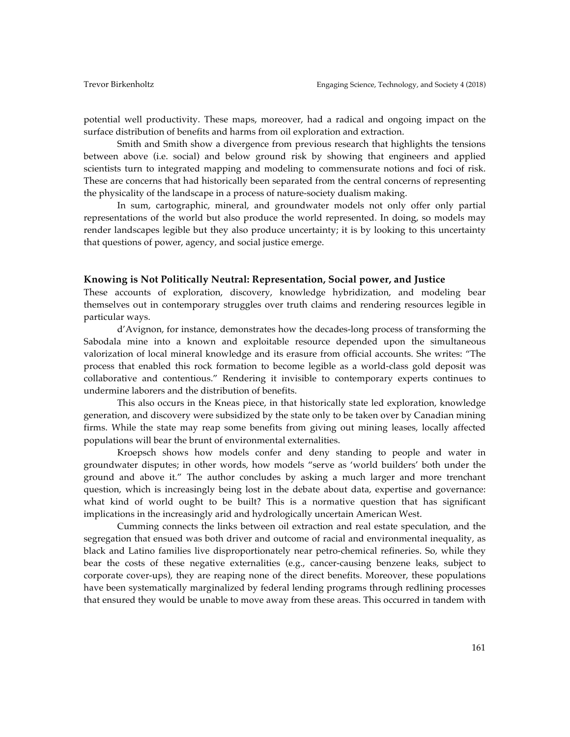potential well productivity. These maps, moreover, had a radical and ongoing impact on the surface distribution of benefits and harms from oil exploration and extraction.

Smith and Smith show a divergence from previous research that highlights the tensions between above (i.e. social) and below ground risk by showing that engineers and applied scientists turn to integrated mapping and modeling to commensurate notions and foci of risk. These are concerns that had historically been separated from the central concerns of representing the physicality of the landscape in a process of nature-society dualism making.

In sum, cartographic, mineral, and groundwater models not only offer only partial representations of the world but also produce the world represented. In doing, so models may render landscapes legible but they also produce uncertainty; it is by looking to this uncertainty that questions of power, agency, and social justice emerge.

### **Knowing is Not Politically Neutral: Representation, Social power, and Justice**

These accounts of exploration, discovery, knowledge hybridization, and modeling bear themselves out in contemporary struggles over truth claims and rendering resources legible in particular ways.

d'Avignon, for instance, demonstrates how the decades-long process of transforming the Sabodala mine into a known and exploitable resource depended upon the simultaneous valorization of local mineral knowledge and its erasure from official accounts. She writes: "The process that enabled this rock formation to become legible as a world-class gold deposit was collaborative and contentious." Rendering it invisible to contemporary experts continues to undermine laborers and the distribution of benefits.

This also occurs in the Kneas piece, in that historically state led exploration, knowledge generation, and discovery were subsidized by the state only to be taken over by Canadian mining firms. While the state may reap some benefits from giving out mining leases, locally affected populations will bear the brunt of environmental externalities.

Kroepsch shows how models confer and deny standing to people and water in groundwater disputes; in other words, how models "serve as 'world builders' both under the ground and above it." The author concludes by asking a much larger and more trenchant question, which is increasingly being lost in the debate about data, expertise and governance: what kind of world ought to be built? This is a normative question that has significant implications in the increasingly arid and hydrologically uncertain American West.

Cumming connects the links between oil extraction and real estate speculation, and the segregation that ensued was both driver and outcome of racial and environmental inequality, as black and Latino families live disproportionately near petro-chemical refineries. So, while they bear the costs of these negative externalities (e.g., cancer-causing benzene leaks, subject to corporate cover-ups), they are reaping none of the direct benefits. Moreover, these populations have been systematically marginalized by federal lending programs through redlining processes that ensured they would be unable to move away from these areas. This occurred in tandem with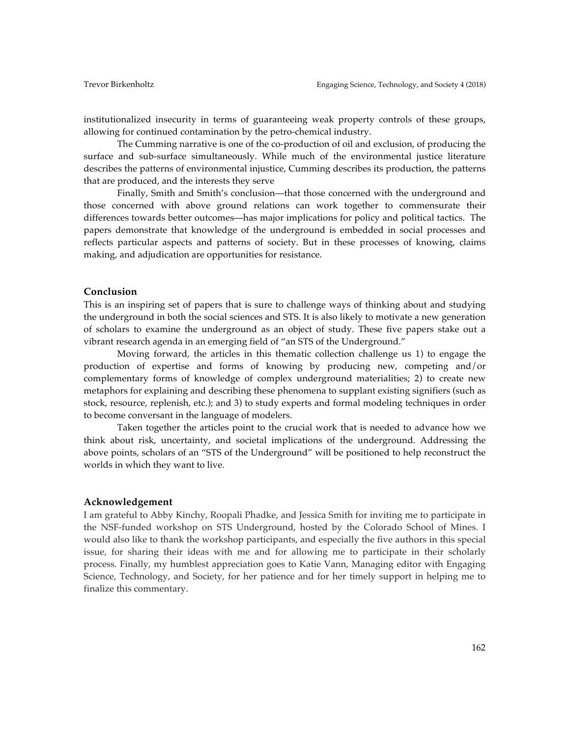institutionalized insecurity in terms of guaranteeing weak property controls of these groups, allowing for continued contamination by the petro-chemical industry.

The Cumming narrative is one of the co-production of oil and exclusion, of producing the surface and sub-surface simultaneously. While much of the environmental justice literature describes the patterns of environmental injustice, Cumming describes its production, the patterns that are produced, and the interests they serve

Finally, Smith and Smith's conclusion—that those concerned with the underground and those concerned with above ground relations can work together to commensurate their differences towards better outcomes––has major implications for policy and political tactics. The papers demonstrate that knowledge of the underground is embedded in social processes and reflects particular aspects and patterns of society. But in these processes of knowing, claims making, and adjudication are opportunities for resistance.

#### **Conclusion**

This is an inspiring set of papers that is sure to challenge ways of thinking about and studying the underground in both the social sciences and STS. It is also likely to motivate a new generation of scholars to examine the underground as an object of study. These five papers stake out a vibrant research agenda in an emerging field of "an STS of the Underground."

Moving forward, the articles in this thematic collection challenge us 1) to engage the production of expertise and forms of knowing by producing new, competing and/or complementary forms of knowledge of complex underground materialities; 2) to create new metaphors for explaining and describing these phenomena to supplant existing signifiers (such as stock, resource, replenish, etc.); and 3) to study experts and formal modeling techniques in order to become conversant in the language of modelers.

Taken together the articles point to the crucial work that is needed to advance how we think about risk, uncertainty, and societal implications of the underground. Addressing the above points, scholars of an "STS of the Underground" will be positioned to help reconstruct the worlds in which they want to live.

## **Acknowledgement**

I am grateful to Abby Kinchy, Roopali Phadke, and Jessica Smith for inviting me to participate in the NSF-funded workshop on STS Underground, hosted by the Colorado School of Mines. I would also like to thank the workshop participants, and especially the five authors in this special issue, for sharing their ideas with me and for allowing me to participate in their scholarly process. Finally, my humblest appreciation goes to Katie Vann, Managing editor with Engaging Science, Technology, and Society, for her patience and for her timely support in helping me to finalize this commentary.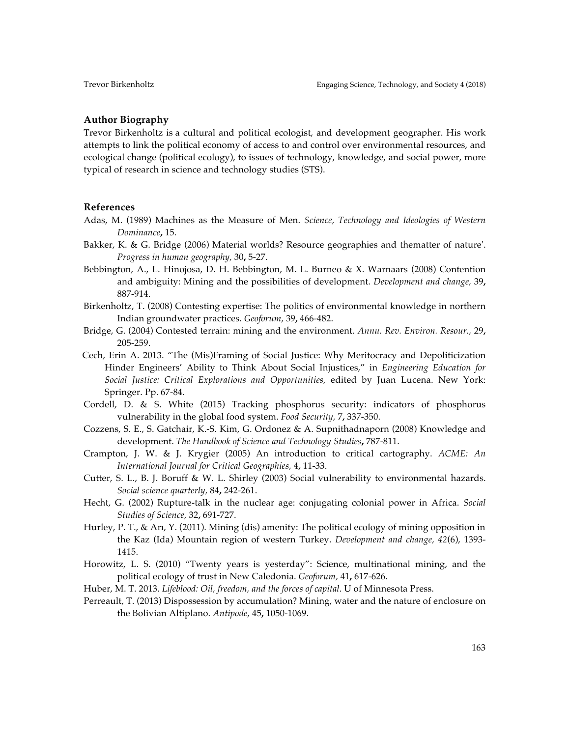### **Author Biography**

Trevor Birkenholtz is a cultural and political ecologist, and development geographer. His work attempts to link the political economy of access to and control over environmental resources, and ecological change (political ecology), to issues of technology, knowledge, and social power, more typical of research in science and technology studies (STS).

# **References**

- Adas, M. (1989) Machines as the Measure of Men. *Science, Technology and Ideologies of Western Dominance***,** 15.
- Bakker, K. & G. Bridge (2006) Material worlds? Resource geographies and thematter of nature'. *Progress in human geography,* 30**,** 5-27.
- Bebbington, A., L. Hinojosa, D. H. Bebbington, M. L. Burneo & X. Warnaars (2008) Contention and ambiguity: Mining and the possibilities of development. *Development and change,* 39**,** 887-914.
- Birkenholtz, T. (2008) Contesting expertise: The politics of environmental knowledge in northern Indian groundwater practices. *Geoforum,* 39**,** 466-482.
- Bridge, G. (2004) Contested terrain: mining and the environment. *Annu. Rev. Environ. Resour.,* 29**,** 205-259.
- Cech, Erin A. 2013. "The (Mis)Framing of Social Justice: Why Meritocracy and Depoliticization Hinder Engineers' Ability to Think About Social Injustices," in *Engineering Education for Social Justice: Critical Explorations and Opportunities,* edited by Juan Lucena. New York: Springer. Pp. 67-84.
- Cordell, D. & S. White (2015) Tracking phosphorus security: indicators of phosphorus vulnerability in the global food system. *Food Security,* 7**,** 337-350.
- Cozzens, S. E., S. Gatchair, K.-S. Kim, G. Ordonez & A. Supnithadnaporn (2008) Knowledge and development. *The Handbook of Science and Technology Studies***,** 787-811.
- Crampton, J. W. & J. Krygier (2005) An introduction to critical cartography. *ACME: An International Journal for Critical Geographies,* 4**,** 11-33.
- Cutter, S. L., B. J. Boruff & W. L. Shirley (2003) Social vulnerability to environmental hazards. *Social science quarterly,* 84**,** 242-261.
- Hecht, G. (2002) Rupture-talk in the nuclear age: conjugating colonial power in Africa. *Social Studies of Science,* 32**,** 691-727.
- Hurley, P. T., & Arı, Y. (2011). Mining (dis) amenity: The political ecology of mining opposition in the Kaz (Ida) Mountain region of western Turkey. *Development and change, 42*(6), 1393- 1415.
- Horowitz, L. S. (2010) "Twenty years is yesterday": Science, multinational mining, and the political ecology of trust in New Caledonia. *Geoforum,* 41**,** 617-626.
- Huber, M. T. 2013. *Lifeblood: Oil, freedom, and the forces of capital*. U of Minnesota Press.
- Perreault, T. (2013) Dispossession by accumulation? Mining, water and the nature of enclosure on the Bolivian Altiplano. *Antipode,* 45**,** 1050-1069.